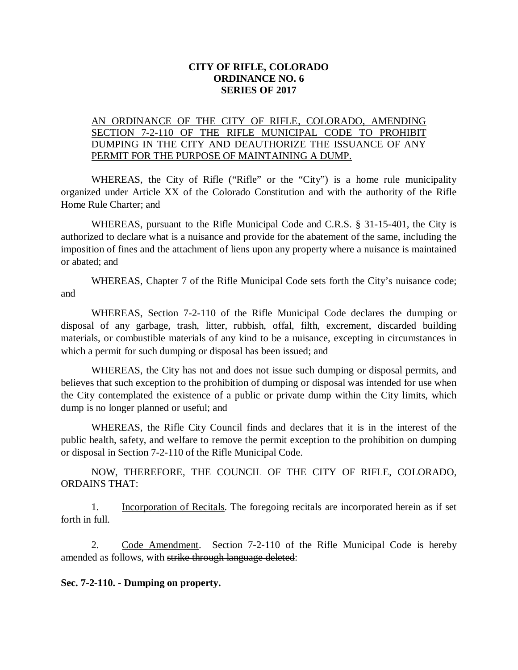## **CITY OF RIFLE, COLORADO ORDINANCE NO. 6 SERIES OF 2017**

## AN ORDINANCE OF THE CITY OF RIFLE, COLORADO, AMENDING SECTION 7-2-110 OF THE RIFLE MUNICIPAL CODE TO PROHIBIT DUMPING IN THE CITY AND DEAUTHORIZE THE ISSUANCE OF ANY PERMIT FOR THE PURPOSE OF MAINTAINING A DUMP.

WHEREAS, the City of Rifle ("Rifle" or the "City") is a home rule municipality organized under Article XX of the Colorado Constitution and with the authority of the Rifle Home Rule Charter; and

WHEREAS, pursuant to the Rifle Municipal Code and C.R.S. § 31-15-401, the City is authorized to declare what is a nuisance and provide for the abatement of the same, including the imposition of fines and the attachment of liens upon any property where a nuisance is maintained or abated; and

WHEREAS, Chapter 7 of the Rifle Municipal Code sets forth the City's nuisance code; and

WHEREAS, Section 7-2-110 of the Rifle Municipal Code declares the dumping or disposal of any garbage, trash, litter, rubbish, offal, filth, excrement, discarded building materials, or combustible materials of any kind to be a nuisance, excepting in circumstances in which a permit for such dumping or disposal has been issued; and

WHEREAS, the City has not and does not issue such dumping or disposal permits, and believes that such exception to the prohibition of dumping or disposal was intended for use when the City contemplated the existence of a public or private dump within the City limits, which dump is no longer planned or useful; and

WHEREAS, the Rifle City Council finds and declares that it is in the interest of the public health, safety, and welfare to remove the permit exception to the prohibition on dumping or disposal in Section 7-2-110 of the Rifle Municipal Code.

NOW, THEREFORE, THE COUNCIL OF THE CITY OF RIFLE, COLORADO, ORDAINS THAT:

1. Incorporation of Recitals. The foregoing recitals are incorporated herein as if set forth in full.

2. Code Amendment. Section 7-2-110 of the Rifle Municipal Code is hereby amended as follows, with strike through language deleted:

**Sec. 7-2-110. - Dumping on property.**